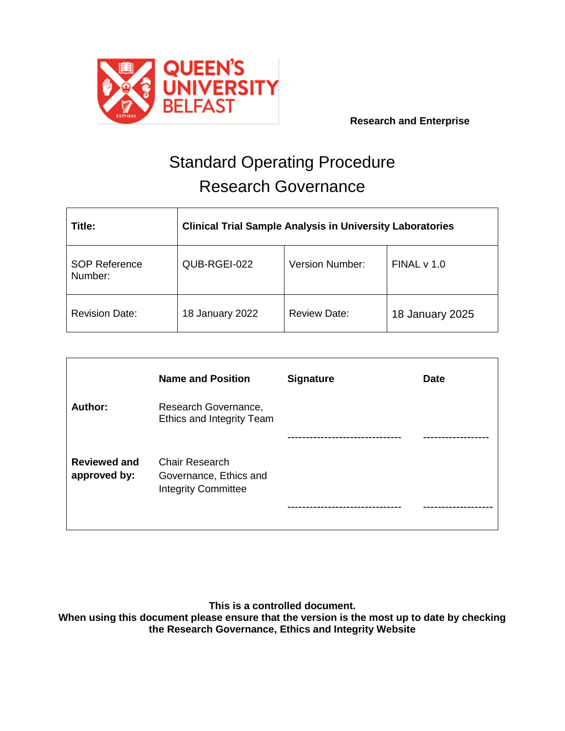

# Standard Operating Procedure Research Governance

| Title:                          | <b>Clinical Trial Sample Analysis in University Laboratories</b> |                        |                 |
|---------------------------------|------------------------------------------------------------------|------------------------|-----------------|
| <b>SOP Reference</b><br>Number: | QUB-RGEI-022                                                     | <b>Version Number:</b> | FINALV 1.0      |
| <b>Revision Date:</b>           | 18 January 2022                                                  | <b>Review Date:</b>    | 18 January 2025 |

|                                     | <b>Name and Position</b>                                               | <b>Signature</b> | <b>Date</b> |
|-------------------------------------|------------------------------------------------------------------------|------------------|-------------|
| Author:                             | Research Governance,<br>Ethics and Integrity Team                      |                  |             |
|                                     |                                                                        |                  |             |
| <b>Reviewed and</b><br>approved by: | Chair Research<br>Governance, Ethics and<br><b>Integrity Committee</b> |                  |             |
|                                     |                                                                        |                  |             |

**This is a controlled document.**

**When using this document please ensure that the version is the most up to date by checking the Research Governance, Ethics and Integrity Website**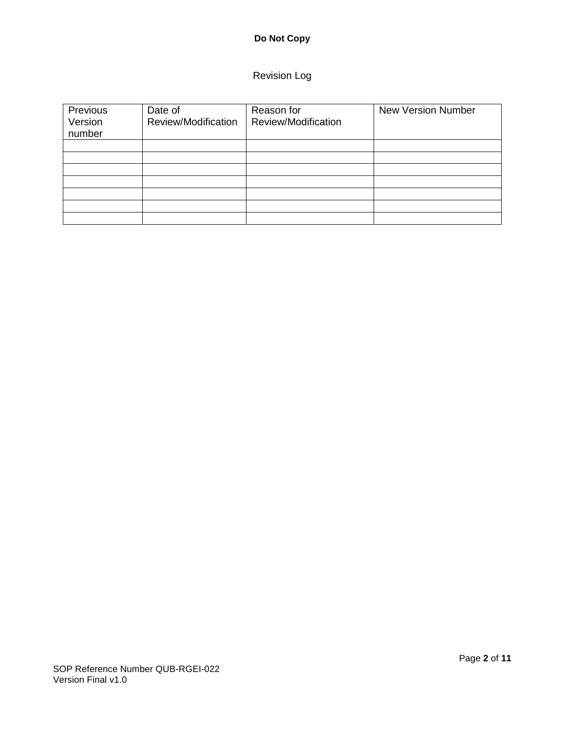# **Do Not Copy**

# Revision Log

| Previous<br>Version<br>number | Date of<br>Review/Modification | Reason for<br>Review/Modification | <b>New Version Number</b> |
|-------------------------------|--------------------------------|-----------------------------------|---------------------------|
|                               |                                |                                   |                           |
|                               |                                |                                   |                           |
|                               |                                |                                   |                           |
|                               |                                |                                   |                           |
|                               |                                |                                   |                           |
|                               |                                |                                   |                           |
|                               |                                |                                   |                           |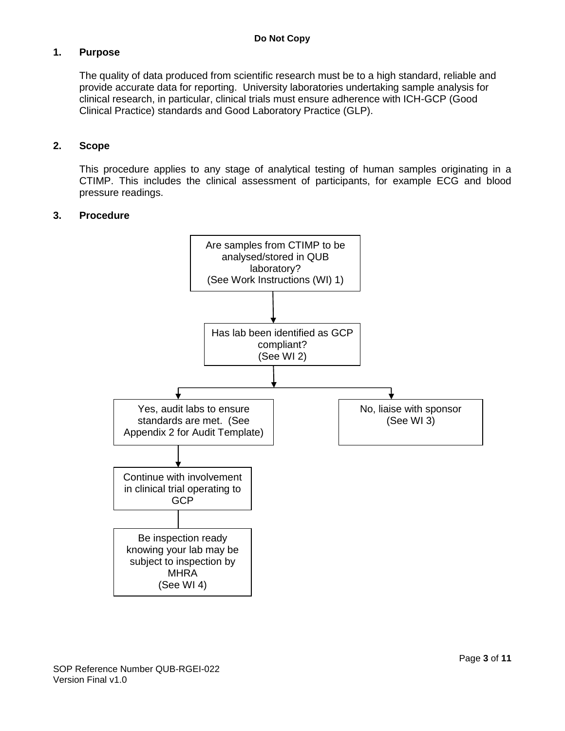## **1. Purpose**

The quality of data produced from scientific research must be to a high standard, reliable and provide accurate data for reporting. University laboratories undertaking sample analysis for clinical research, in particular, clinical trials must ensure adherence with ICH-GCP (Good Clinical Practice) standards and Good Laboratory Practice (GLP).

#### **2. Scope**

This procedure applies to any stage of analytical testing of human samples originating in a CTIMP. This includes the clinical assessment of participants, for example ECG and blood pressure readings.

#### **3. Procedure**

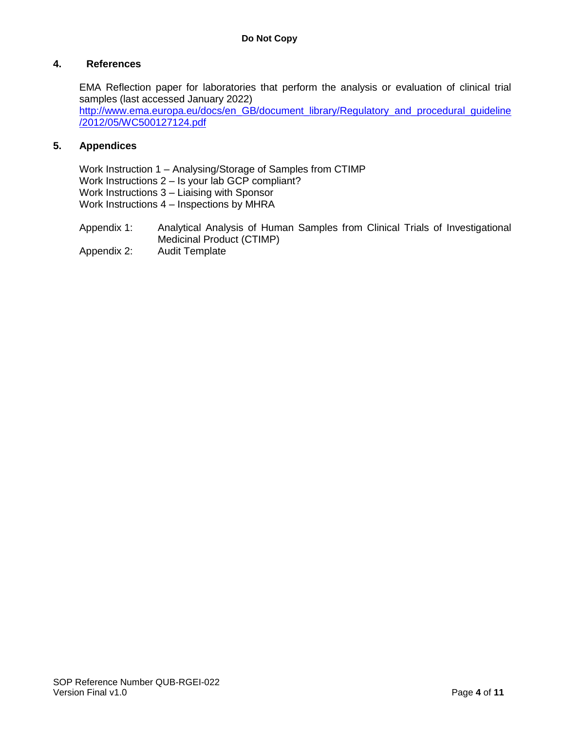## **4. References**

EMA Reflection paper for laboratories that perform the analysis or evaluation of clinical trial samples (last accessed January 2022) [http://www.ema.europa.eu/docs/en\\_GB/document\\_library/Regulatory\\_and\\_procedural\\_guideline](http://www.ema.europa.eu/docs/en_GB/document_library/Regulatory_and_procedural_guideline/2012/05/WC500127124.pdf) [/2012/05/WC500127124.pdf](http://www.ema.europa.eu/docs/en_GB/document_library/Regulatory_and_procedural_guideline/2012/05/WC500127124.pdf)

## **5. Appendices**

Work Instruction 1 – Analysing/Storage of Samples from CTIMP Work Instructions 2 – Is your lab GCP compliant? Work Instructions 3 – Liaising with Sponsor Work Instructions 4 – Inspections by MHRA

- Appendix 1: Analytical Analysis of Human Samples from Clinical Trials of Investigational Medicinal Product (CTIMP)
- Appendix 2: Audit Template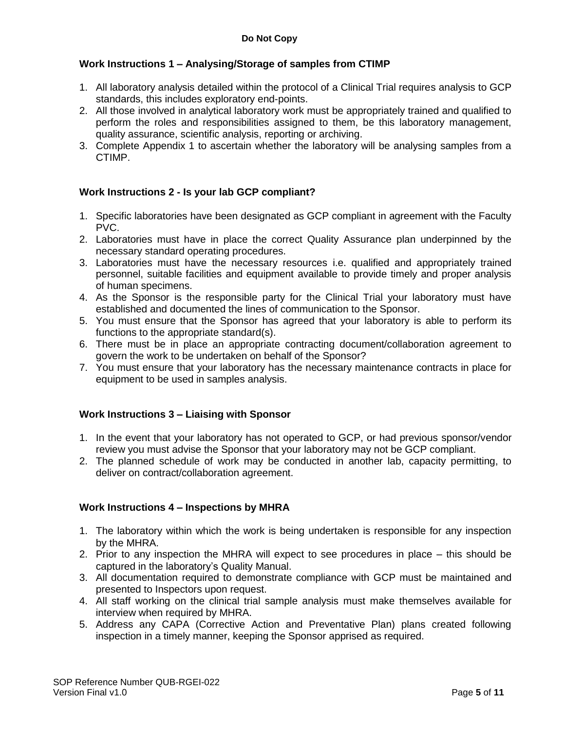# **Work Instructions 1 – Analysing/Storage of samples from CTIMP**

- 1. All laboratory analysis detailed within the protocol of a Clinical Trial requires analysis to GCP standards, this includes exploratory end-points.
- 2. All those involved in analytical laboratory work must be appropriately trained and qualified to perform the roles and responsibilities assigned to them, be this laboratory management, quality assurance, scientific analysis, reporting or archiving.
- 3. Complete Appendix 1 to ascertain whether the laboratory will be analysing samples from a CTIMP.

# **Work Instructions 2 - Is your lab GCP compliant?**

- 1. Specific laboratories have been designated as GCP compliant in agreement with the Faculty PVC.
- 2. Laboratories must have in place the correct Quality Assurance plan underpinned by the necessary standard operating procedures.
- 3. Laboratories must have the necessary resources i.e. qualified and appropriately trained personnel, suitable facilities and equipment available to provide timely and proper analysis of human specimens.
- 4. As the Sponsor is the responsible party for the Clinical Trial your laboratory must have established and documented the lines of communication to the Sponsor.
- 5. You must ensure that the Sponsor has agreed that your laboratory is able to perform its functions to the appropriate standard(s).
- 6. There must be in place an appropriate contracting document/collaboration agreement to govern the work to be undertaken on behalf of the Sponsor?
- 7. You must ensure that your laboratory has the necessary maintenance contracts in place for equipment to be used in samples analysis.

#### **Work Instructions 3 – Liaising with Sponsor**

- 1. In the event that your laboratory has not operated to GCP, or had previous sponsor/vendor review you must advise the Sponsor that your laboratory may not be GCP compliant.
- 2. The planned schedule of work may be conducted in another lab, capacity permitting, to deliver on contract/collaboration agreement.

#### **Work Instructions 4 – Inspections by MHRA**

- 1. The laboratory within which the work is being undertaken is responsible for any inspection by the MHRA.
- 2. Prior to any inspection the MHRA will expect to see procedures in place this should be captured in the laboratory's Quality Manual.
- 3. All documentation required to demonstrate compliance with GCP must be maintained and presented to Inspectors upon request.
- 4. All staff working on the clinical trial sample analysis must make themselves available for interview when required by MHRA.
- 5. Address any CAPA (Corrective Action and Preventative Plan) plans created following inspection in a timely manner, keeping the Sponsor apprised as required.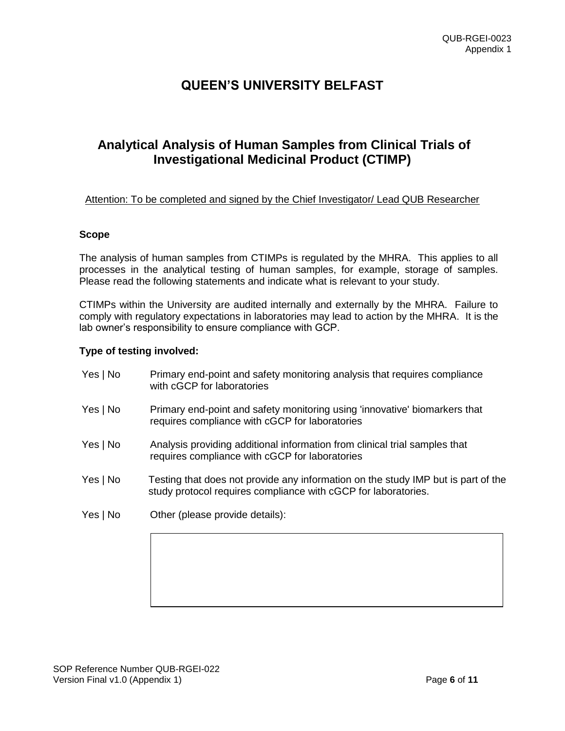# **QUEEN'S UNIVERSITY BELFAST**

# **Analytical Analysis of Human Samples from Clinical Trials of Investigational Medicinal Product (CTIMP)**

Attention: To be completed and signed by the Chief Investigator/ Lead QUB Researcher

#### **Scope**

The analysis of human samples from CTIMPs is regulated by the MHRA. This applies to all processes in the analytical testing of human samples, for example, storage of samples. Please read the following statements and indicate what is relevant to your study.

CTIMPs within the University are audited internally and externally by the MHRA. Failure to comply with regulatory expectations in laboratories may lead to action by the MHRA. It is the lab owner's responsibility to ensure compliance with GCP.

#### **Type of testing involved:**

Yes | No Primary end-point and safety monitoring analysis that requires compliance with cGCP for laboratories Yes | No Primary end-point and safety monitoring using 'innovative' biomarkers that requires compliance with cGCP for laboratories Yes | No Analysis providing additional information from clinical trial samples that requires compliance with cGCP for laboratories Yes | No Testing that does not provide any information on the study IMP but is part of the study protocol requires compliance with cGCP for laboratories. Yes | No Other (please provide details):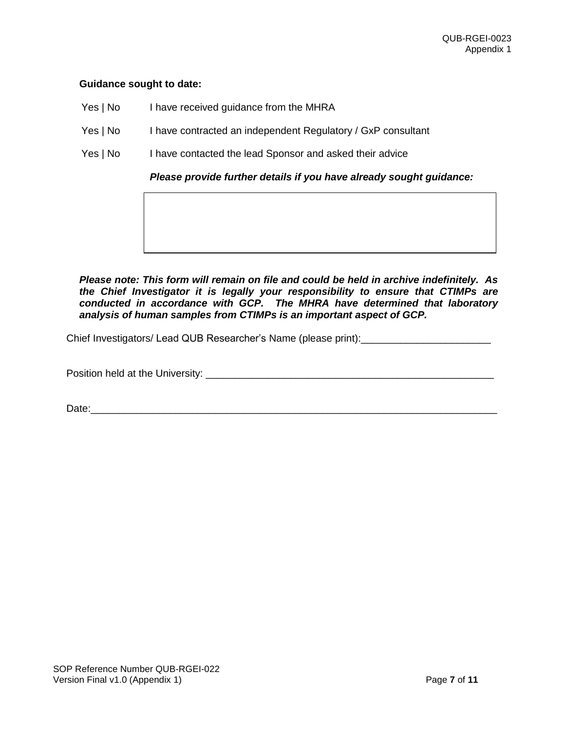#### **Guidance sought to date:**

- Yes | No I have received guidance from the MHRA
- Yes | No I have contracted an independent Regulatory / GxP consultant
- Yes | No I have contacted the lead Sponsor and asked their advice

*Please provide further details if you have already sought guidance:*

*Please note: This form will remain on file and could be held in archive indefinitely. As the Chief Investigator it is legally your responsibility to ensure that CTIMPs are conducted in accordance with GCP. The MHRA have determined that laboratory analysis of human samples from CTIMPs is an important aspect of GCP.*

Chief Investigators/ Lead QUB Researcher's Name (please print): \_\_\_\_\_\_\_\_\_\_\_\_\_\_\_\_\_

Position held at the University: \_\_\_\_\_\_\_\_\_\_\_\_\_\_\_\_\_\_\_\_\_\_\_\_\_\_\_\_\_\_\_\_\_\_\_\_\_\_\_\_\_\_\_\_\_\_\_\_\_\_\_

Date:\_\_\_\_\_\_\_\_\_\_\_\_\_\_\_\_\_\_\_\_\_\_\_\_\_\_\_\_\_\_\_\_\_\_\_\_\_\_\_\_\_\_\_\_\_\_\_\_\_\_\_\_\_\_\_\_\_\_\_\_\_\_\_\_\_\_\_\_\_\_\_\_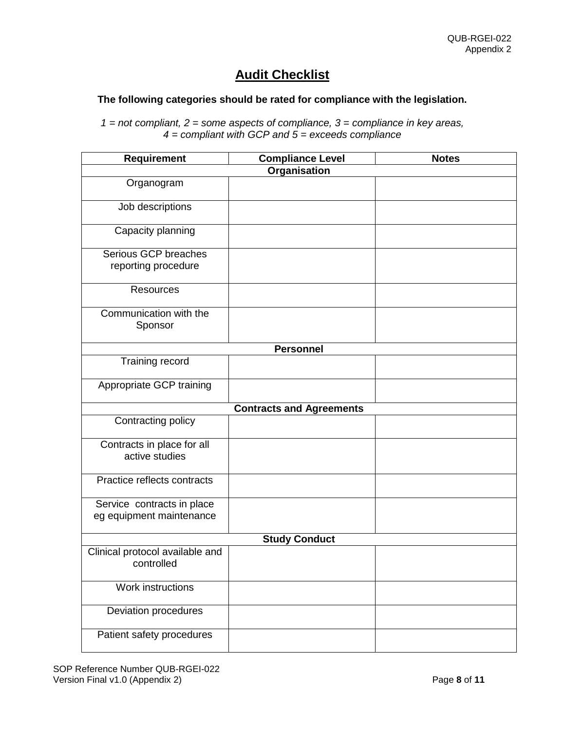# **Audit Checklist**

## **The following categories should be rated for compliance with the legislation.**

*1 = not compliant, 2 = some aspects of compliance, 3 = compliance in key areas, 4 = compliant with GCP and 5 = exceeds compliance*

| <b>Requirement</b>                                     | <b>Compliance Level</b>         | <b>Notes</b> |  |
|--------------------------------------------------------|---------------------------------|--------------|--|
|                                                        | Organisation                    |              |  |
| Organogram                                             |                                 |              |  |
| Job descriptions                                       |                                 |              |  |
| Capacity planning                                      |                                 |              |  |
| Serious GCP breaches<br>reporting procedure            |                                 |              |  |
| <b>Resources</b>                                       |                                 |              |  |
| Communication with the<br>Sponsor                      |                                 |              |  |
|                                                        | <b>Personnel</b>                |              |  |
| Training record                                        |                                 |              |  |
| Appropriate GCP training                               |                                 |              |  |
|                                                        | <b>Contracts and Agreements</b> |              |  |
| Contracting policy                                     |                                 |              |  |
| Contracts in place for all<br>active studies           |                                 |              |  |
| Practice reflects contracts                            |                                 |              |  |
| Service contracts in place<br>eg equipment maintenance |                                 |              |  |
| <b>Study Conduct</b>                                   |                                 |              |  |
| Clinical protocol available and<br>controlled          |                                 |              |  |
| Work instructions                                      |                                 |              |  |
| Deviation procedures                                   |                                 |              |  |
| Patient safety procedures                              |                                 |              |  |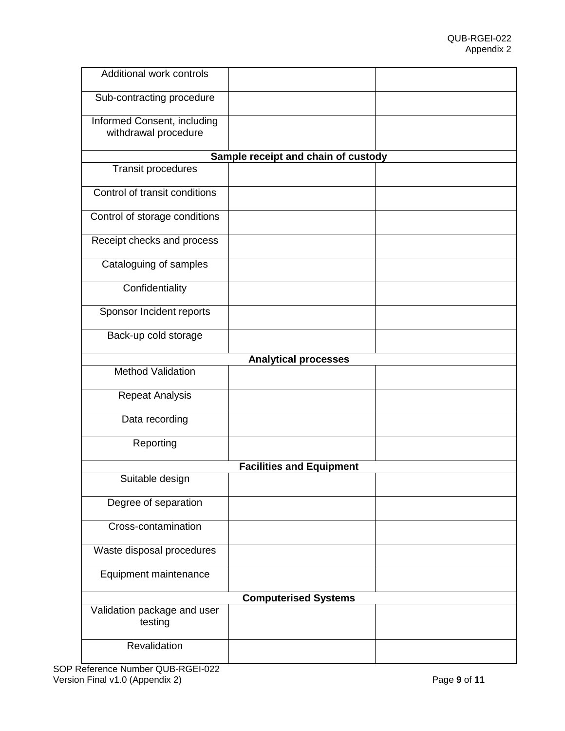| Additional work controls               |                                     |  |
|----------------------------------------|-------------------------------------|--|
| Sub-contracting procedure              |                                     |  |
| Informed Consent, including            |                                     |  |
| withdrawal procedure                   |                                     |  |
|                                        |                                     |  |
|                                        | Sample receipt and chain of custody |  |
| <b>Transit procedures</b>              |                                     |  |
| Control of transit conditions          |                                     |  |
| Control of storage conditions          |                                     |  |
| Receipt checks and process             |                                     |  |
| Cataloguing of samples                 |                                     |  |
| Confidentiality                        |                                     |  |
| Sponsor Incident reports               |                                     |  |
| Back-up cold storage                   |                                     |  |
|                                        | <b>Analytical processes</b>         |  |
| <b>Method Validation</b>               |                                     |  |
|                                        |                                     |  |
| <b>Repeat Analysis</b>                 |                                     |  |
| Data recording                         |                                     |  |
| Reporting                              |                                     |  |
|                                        | <b>Facilities and Equipment</b>     |  |
| Suitable design                        |                                     |  |
| Degree of separation                   |                                     |  |
| Cross-contamination                    |                                     |  |
| Waste disposal procedures              |                                     |  |
| Equipment maintenance                  |                                     |  |
|                                        | <b>Computerised Systems</b>         |  |
| Validation package and user<br>testing |                                     |  |
| Revalidation                           |                                     |  |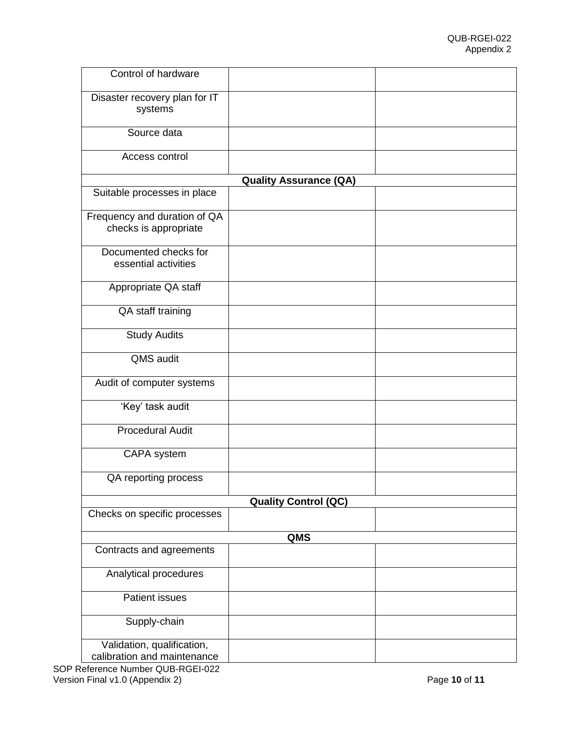| Control of hardware                                   |                               |  |
|-------------------------------------------------------|-------------------------------|--|
| Disaster recovery plan for IT<br>systems              |                               |  |
| Source data                                           |                               |  |
| Access control                                        |                               |  |
|                                                       | <b>Quality Assurance (QA)</b> |  |
| Suitable processes in place                           |                               |  |
| Frequency and duration of QA<br>checks is appropriate |                               |  |
| Documented checks for<br>essential activities         |                               |  |
| Appropriate QA staff                                  |                               |  |
| QA staff training                                     |                               |  |
| <b>Study Audits</b>                                   |                               |  |
| <b>QMS</b> audit                                      |                               |  |
| Audit of computer systems                             |                               |  |
| 'Key' task audit                                      |                               |  |
| <b>Procedural Audit</b>                               |                               |  |
| CAPA system                                           |                               |  |
| QA reporting process                                  |                               |  |
|                                                       | <b>Quality Control (QC)</b>   |  |
| Checks on specific processes                          |                               |  |
|                                                       | QMS                           |  |
| Contracts and agreements                              |                               |  |
| Analytical procedures                                 |                               |  |
| <b>Patient issues</b>                                 |                               |  |
| Supply-chain                                          |                               |  |
| Validation, qualification,                            |                               |  |
| calibration and maintenance                           |                               |  |